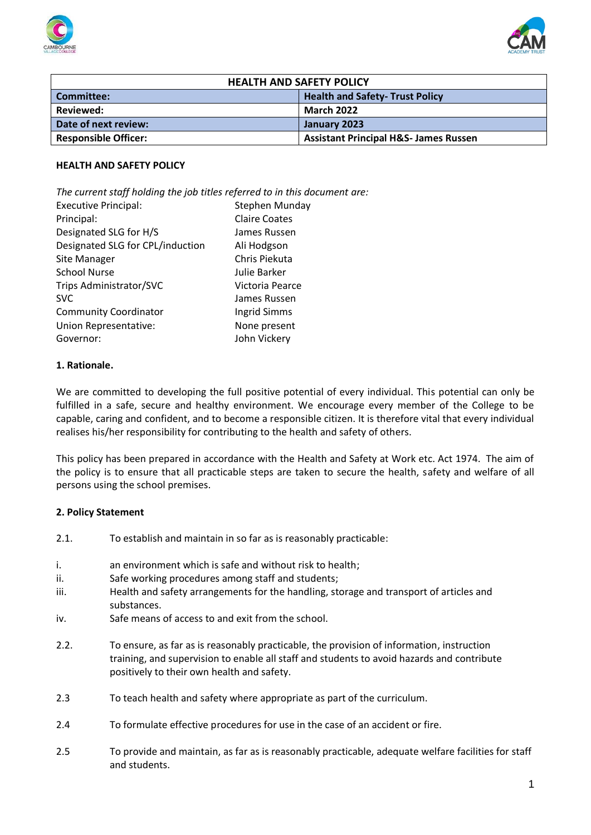



| <b>HEALTH AND SAFETY POLICY</b> |                                                  |
|---------------------------------|--------------------------------------------------|
| Committee:                      | <b>Health and Safety- Trust Policy</b>           |
| Reviewed:                       | <b>March 2022</b>                                |
| Date of next review:            | January 2023                                     |
| <b>Responsible Officer:</b>     | <b>Assistant Principal H&amp;S- James Russen</b> |

#### **HEALTH AND SAFETY POLICY**

*The current staff holding the job titles referred to in this document are:*

| <b>Executive Principal:</b>      | Stephen Munday       |
|----------------------------------|----------------------|
| Principal:                       | <b>Claire Coates</b> |
| Designated SLG for H/S           | James Russen         |
| Designated SLG for CPL/induction | Ali Hodgson          |
| Site Manager                     | Chris Piekuta        |
| <b>School Nurse</b>              | Julie Barker         |
| Trips Administrator/SVC          | Victoria Pearce      |
| <b>SVC</b>                       | James Russen         |
| <b>Community Coordinator</b>     | Ingrid Simms         |
| Union Representative:            | None present         |
| Governor:                        | John Vickery         |

#### **1. Rationale.**

We are committed to developing the full positive potential of every individual. This potential can only be fulfilled in a safe, secure and healthy environment. We encourage every member of the College to be capable, caring and confident, and to become a responsible citizen. It is therefore vital that every individual realises his/her responsibility for contributing to the health and safety of others.

This policy has been prepared in accordance with the Health and Safety at Work etc. Act 1974. The aim of the policy is to ensure that all practicable steps are taken to secure the health, safety and welfare of all persons using the school premises.

#### **2. Policy Statement**

- 2.1. To establish and maintain in so far as is reasonably practicable:
- i. an environment which is safe and without risk to health;
- ii. Safe working procedures among staff and students;
- iii. Health and safety arrangements for the handling, storage and transport of articles and substances.
- iv. Safe means of access to and exit from the school.
- 2.2. To ensure, as far as is reasonably practicable, the provision of information, instruction training, and supervision to enable all staff and students to avoid hazards and contribute positively to their own health and safety.
- 2.3 To teach health and safety where appropriate as part of the curriculum.
- 2.4 To formulate effective procedures for use in the case of an accident or fire.
- 2.5 To provide and maintain, as far as is reasonably practicable, adequate welfare facilities for staff and students.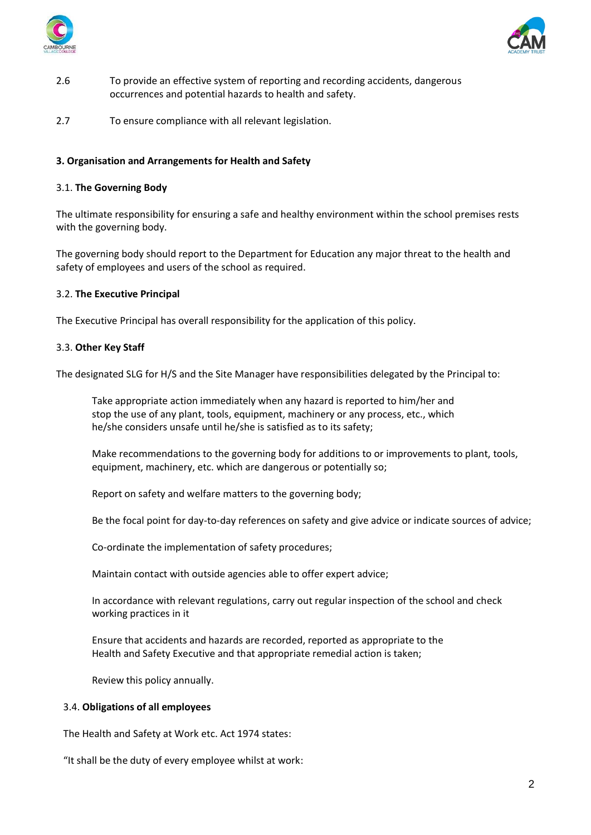



- 2.6 To provide an effective system of reporting and recording accidents, dangerous occurrences and potential hazards to health and safety.
- 2.7 To ensure compliance with all relevant legislation.

# **3. Organisation and Arrangements for Health and Safety**

#### 3.1. **The Governing Body**

The ultimate responsibility for ensuring a safe and healthy environment within the school premises rests with the governing body.

The governing body should report to the Department for Education any major threat to the health and safety of employees and users of the school as required.

#### 3.2. **The Executive Principal**

The Executive Principal has overall responsibility for the application of this policy.

#### 3.3. **Other Key Staff**

The designated SLG for H/S and the Site Manager have responsibilities delegated by the Principal to:

Take appropriate action immediately when any hazard is reported to him/her and stop the use of any plant, tools, equipment, machinery or any process, etc., which he/she considers unsafe until he/she is satisfied as to its safety;

Make recommendations to the governing body for additions to or improvements to plant, tools, equipment, machinery, etc. which are dangerous or potentially so;

Report on safety and welfare matters to the governing body;

Be the focal point for day-to-day references on safety and give advice or indicate sources of advice;

Co-ordinate the implementation of safety procedures;

Maintain contact with outside agencies able to offer expert advice;

In accordance with relevant regulations, carry out regular inspection of the school and check working practices in it

Ensure that accidents and hazards are recorded, reported as appropriate to the Health and Safety Executive and that appropriate remedial action is taken;

Review this policy annually.

#### 3.4. **Obligations of all employees**

The Health and Safety at Work etc. Act 1974 states:

"It shall be the duty of every employee whilst at work: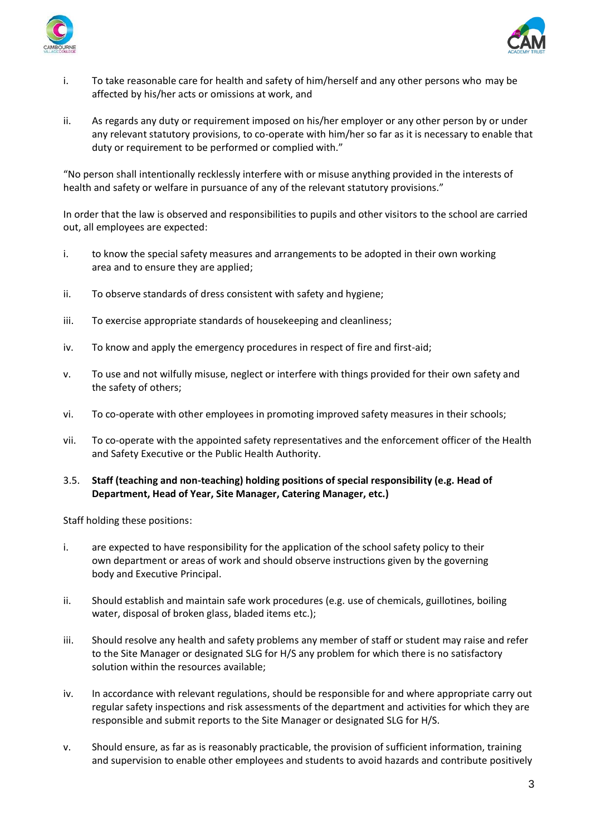



- i. To take reasonable care for health and safety of him/herself and any other persons who may be affected by his/her acts or omissions at work, and
- ii. As regards any duty or requirement imposed on his/her employer or any other person by or under any relevant statutory provisions, to co-operate with him/her so far as it is necessary to enable that duty or requirement to be performed or complied with."

"No person shall intentionally recklessly interfere with or misuse anything provided in the interests of health and safety or welfare in pursuance of any of the relevant statutory provisions."

In order that the law is observed and responsibilities to pupils and other visitors to the school are carried out, all employees are expected:

- i. to know the special safety measures and arrangements to be adopted in their own working area and to ensure they are applied;
- ii. To observe standards of dress consistent with safety and hygiene;
- iii. To exercise appropriate standards of housekeeping and cleanliness;
- iv. To know and apply the emergency procedures in respect of fire and first-aid;
- v. To use and not wilfully misuse, neglect or interfere with things provided for their own safety and the safety of others;
- vi. To co-operate with other employees in promoting improved safety measures in their schools;
- vii. To co-operate with the appointed safety representatives and the enforcement officer of the Health and Safety Executive or the Public Health Authority.

# 3.5. **Staff (teaching and non-teaching) holding positions of special responsibility (e.g. Head of Department, Head of Year, Site Manager, Catering Manager, etc.)**

Staff holding these positions:

- i. are expected to have responsibility for the application of the school safety policy to their own department or areas of work and should observe instructions given by the governing body and Executive Principal.
- ii. Should establish and maintain safe work procedures (e.g. use of chemicals, guillotines, boiling water, disposal of broken glass, bladed items etc.);
- iii. Should resolve any health and safety problems any member of staff or student may raise and refer to the Site Manager or designated SLG for H/S any problem for which there is no satisfactory solution within the resources available;
- iv. In accordance with relevant regulations, should be responsible for and where appropriate carry out regular safety inspections and risk assessments of the department and activities for which they are responsible and submit reports to the Site Manager or designated SLG for H/S.
- v. Should ensure, as far as is reasonably practicable, the provision of sufficient information, training and supervision to enable other employees and students to avoid hazards and contribute positively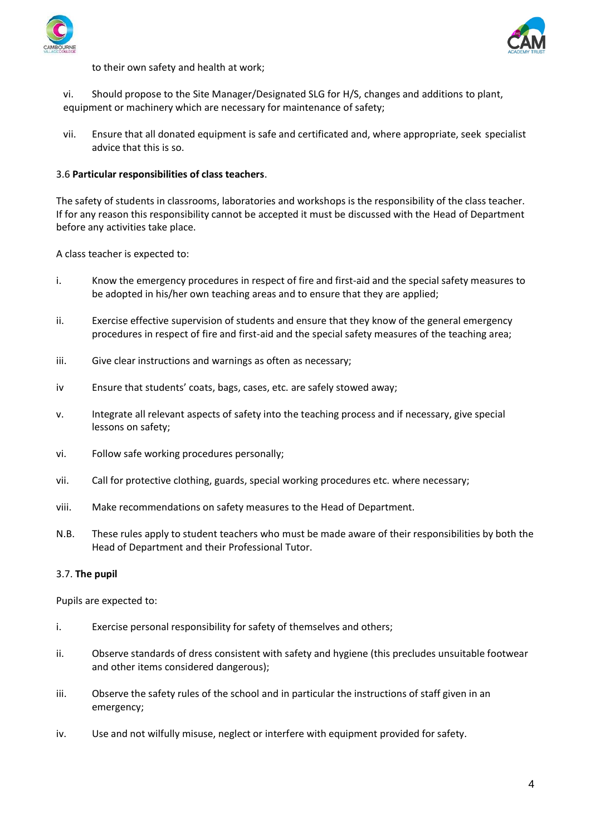



to their own safety and health at work;

vi. Should propose to the Site Manager/Designated SLG for H/S, changes and additions to plant, equipment or machinery which are necessary for maintenance of safety;

vii. Ensure that all donated equipment is safe and certificated and, where appropriate, seek specialist advice that this is so.

# 3.6 **Particular responsibilities of class teachers**.

The safety of students in classrooms, laboratories and workshops is the responsibility of the class teacher. If for any reason this responsibility cannot be accepted it must be discussed with the Head of Department before any activities take place.

A class teacher is expected to:

- i. Know the emergency procedures in respect of fire and first-aid and the special safety measures to be adopted in his/her own teaching areas and to ensure that they are applied;
- ii. Exercise effective supervision of students and ensure that they know of the general emergency procedures in respect of fire and first-aid and the special safety measures of the teaching area;
- iii. Give clear instructions and warnings as often as necessary;
- iv Ensure that students' coats, bags, cases, etc. are safely stowed away;
- v. Integrate all relevant aspects of safety into the teaching process and if necessary, give special lessons on safety;
- vi. Follow safe working procedures personally;
- vii. Call for protective clothing, guards, special working procedures etc. where necessary;
- viii. Make recommendations on safety measures to the Head of Department.
- N.B. These rules apply to student teachers who must be made aware of their responsibilities by both the Head of Department and their Professional Tutor.

#### 3.7. **The pupil**

Pupils are expected to:

- i. Exercise personal responsibility for safety of themselves and others;
- ii. Observe standards of dress consistent with safety and hygiene (this precludes unsuitable footwear and other items considered dangerous);
- iii. Observe the safety rules of the school and in particular the instructions of staff given in an emergency;
- iv. Use and not wilfully misuse, neglect or interfere with equipment provided for safety.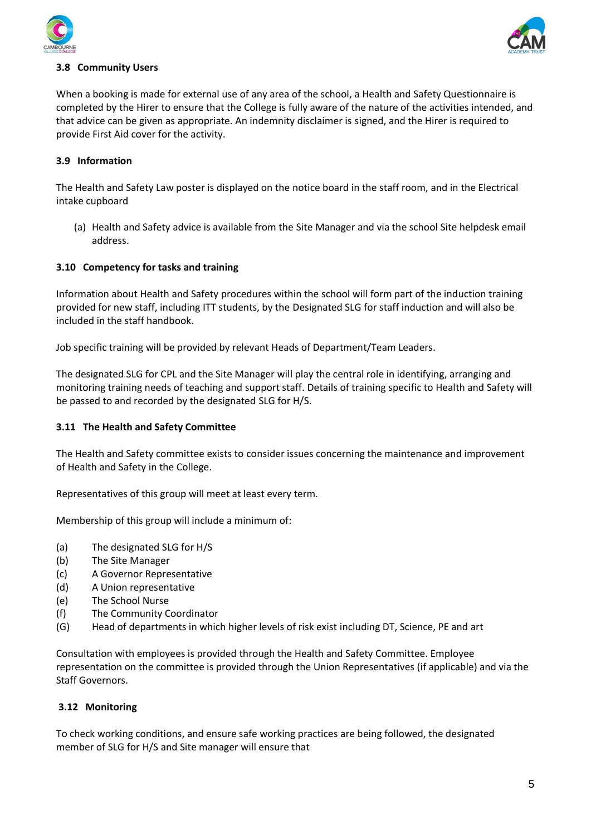



# **3.8 Community Users**

When a booking is made for external use of any area of the school, a Health and Safety Questionnaire is completed by the Hirer to ensure that the College is fully aware of the nature of the activities intended, and that advice can be given as appropriate. An indemnity disclaimer is signed, and the Hirer is required to provide First Aid cover for the activity.

### **3.9 Information**

The Health and Safety Law poster is displayed on the notice board in the staff room, and in the Electrical intake cupboard

(a) Health and Safety advice is available from the Site Manager and via the school Site helpdesk email address.

# **3.10 Competency for tasks and training**

Information about Health and Safety procedures within the school will form part of the induction training provided for new staff, including ITT students, by the Designated SLG for staff induction and will also be included in the staff handbook.

Job specific training will be provided by relevant Heads of Department/Team Leaders.

The designated SLG for CPL and the Site Manager will play the central role in identifying, arranging and monitoring training needs of teaching and support staff. Details of training specific to Health and Safety will be passed to and recorded by the designated SLG for H/S.

#### **3.11 The Health and Safety Committee**

The Health and Safety committee exists to consider issues concerning the maintenance and improvement of Health and Safety in the College.

Representatives of this group will meet at least every term.

Membership of this group will include a minimum of:

- (a) The designated SLG for H/S
- (b) The Site Manager
- (c) A Governor Representative
- (d) A Union representative
- (e) The School Nurse
- (f) The Community Coordinator
- (G) Head of departments in which higher levels of risk exist including DT, Science, PE and art

Consultation with employees is provided through the Health and Safety Committee. Employee representation on the committee is provided through the Union Representatives (if applicable) and via the Staff Governors.

#### **3.12 Monitoring**

To check working conditions, and ensure safe working practices are being followed, the designated member of SLG for H/S and Site manager will ensure that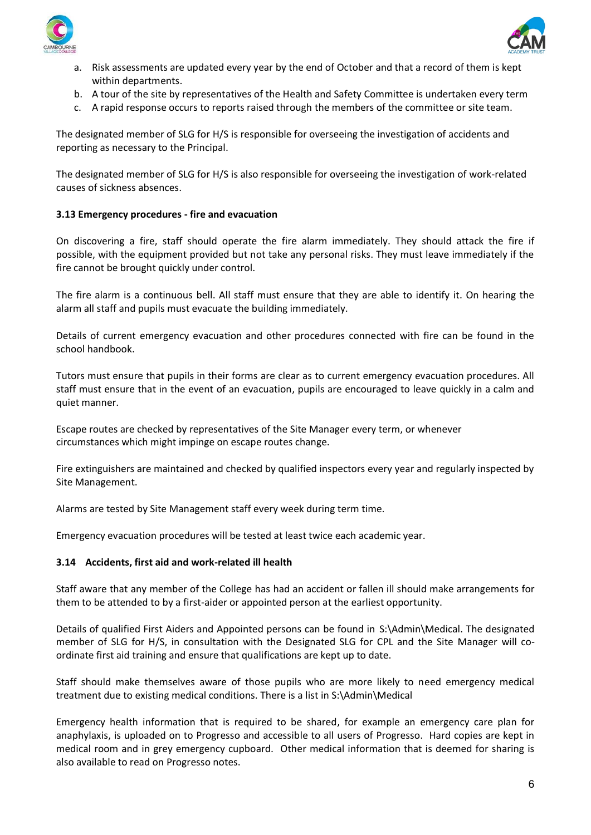



- a. Risk assessments are updated every year by the end of October and that a record of them is kept within departments.
- b. A tour of the site by representatives of the Health and Safety Committee is undertaken every term
- c. A rapid response occurs to reports raised through the members of the committee or site team.

The designated member of SLG for H/S is responsible for overseeing the investigation of accidents and reporting as necessary to the Principal.

The designated member of SLG for H/S is also responsible for overseeing the investigation of work-related causes of sickness absences.

# **3.13 Emergency procedures - fire and evacuation**

On discovering a fire, staff should operate the fire alarm immediately. They should attack the fire if possible, with the equipment provided but not take any personal risks. They must leave immediately if the fire cannot be brought quickly under control.

The fire alarm is a continuous bell. All staff must ensure that they are able to identify it. On hearing the alarm all staff and pupils must evacuate the building immediately.

Details of current emergency evacuation and other procedures connected with fire can be found in the school handbook.

Tutors must ensure that pupils in their forms are clear as to current emergency evacuation procedures. All staff must ensure that in the event of an evacuation, pupils are encouraged to leave quickly in a calm and quiet manner.

Escape routes are checked by representatives of the Site Manager every term, or whenever circumstances which might impinge on escape routes change.

Fire extinguishers are maintained and checked by qualified inspectors every year and regularly inspected by Site Management.

Alarms are tested by Site Management staff every week during term time.

Emergency evacuation procedures will be tested at least twice each academic year.

#### **3.14 Accidents, first aid and work-related ill health**

Staff aware that any member of the College has had an accident or fallen ill should make arrangements for them to be attended to by a first-aider or appointed person at the earliest opportunity.

Details of qualified First Aiders and Appointed persons can be found in S:\Admin\Medical. The designated member of SLG for H/S, in consultation with the Designated SLG for CPL and the Site Manager will coordinate first aid training and ensure that qualifications are kept up to date.

Staff should make themselves aware of those pupils who are more likely to need emergency medical treatment due to existing medical conditions. There is a list in S:\Admin\Medical

Emergency health information that is required to be shared, for example an emergency care plan for anaphylaxis, is uploaded on to Progresso and accessible to all users of Progresso. Hard copies are kept in medical room and in grey emergency cupboard. Other medical information that is deemed for sharing is also available to read on Progresso notes.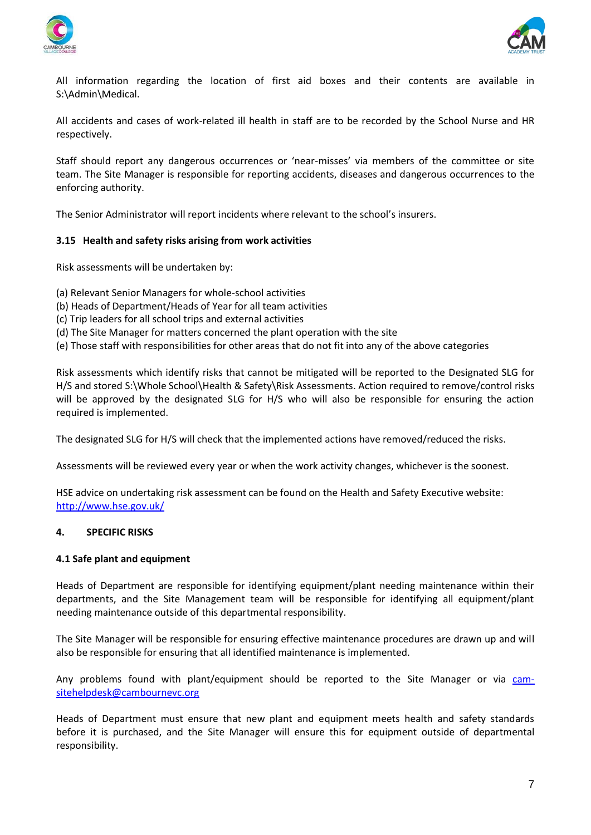



All information regarding the location of first aid boxes and their contents are available in S:\Admin\Medical.

All accidents and cases of work-related ill health in staff are to be recorded by the School Nurse and HR respectively.

Staff should report any dangerous occurrences or 'near-misses' via members of the committee or site team. The Site Manager is responsible for reporting accidents, diseases and dangerous occurrences to the enforcing authority.

The Senior Administrator will report incidents where relevant to the school's insurers.

# **3.15 Health and safety risks arising from work activities**

Risk assessments will be undertaken by:

- (a) Relevant Senior Managers for whole-school activities
- (b) Heads of Department/Heads of Year for all team activities
- (c) Trip leaders for all school trips and external activities
- (d) The Site Manager for matters concerned the plant operation with the site
- (e) Those staff with responsibilities for other areas that do not fit into any of the above categories

Risk assessments which identify risks that cannot be mitigated will be reported to the Designated SLG for H/S and stored S:\Whole School\Health & Safety\Risk Assessments. Action required to remove/control risks will be approved by the designated SLG for H/S who will also be responsible for ensuring the action required is implemented.

The designated SLG for H/S will check that the implemented actions have removed/reduced the risks.

Assessments will be reviewed every year or when the work activity changes, whichever is the soonest.

HSE advice on undertaking risk assessment can be found on the Health and Safety Executive website: <http://www.hse.gov.uk/>

#### **4. SPECIFIC RISKS**

#### **4.1 Safe plant and equipment**

Heads of Department are responsible for identifying equipment/plant needing maintenance within their departments, and the Site Management team will be responsible for identifying all equipment/plant needing maintenance outside of this departmental responsibility.

The Site Manager will be responsible for ensuring effective maintenance procedures are drawn up and will also be responsible for ensuring that all identified maintenance is implemented.

Any problems found with plant/equipment should be reported to the Site Manager or via [cam](mailto:cam-sitehelpdesk@cambournevc.org)[sitehelpdesk@cambournevc.org](mailto:cam-sitehelpdesk@cambournevc.org)

Heads of Department must ensure that new plant and equipment meets health and safety standards before it is purchased, and the Site Manager will ensure this for equipment outside of departmental responsibility.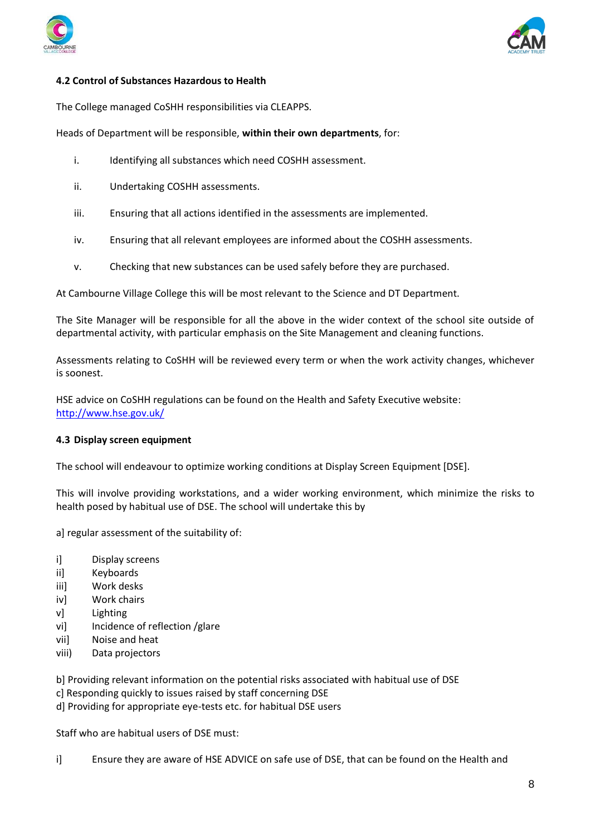



# **4.2 Control of Substances Hazardous to Health**

The College managed CoSHH responsibilities via CLEAPPS.

Heads of Department will be responsible, **within their own departments**, for:

- i. Identifying all substances which need COSHH assessment.
- ii. Undertaking COSHH assessments.
- iii. Ensuring that all actions identified in the assessments are implemented.
- iv. Ensuring that all relevant employees are informed about the COSHH assessments.
- v. Checking that new substances can be used safely before they are purchased.

At Cambourne Village College this will be most relevant to the Science and DT Department.

The Site Manager will be responsible for all the above in the wider context of the school site outside of departmental activity, with particular emphasis on the Site Management and cleaning functions.

Assessments relating to CoSHH will be reviewed every term or when the work activity changes, whichever is soonest.

HSE advice on CoSHH regulations can be found on the Health and Safety Executive website: <http://www.hse.gov.uk/>

#### **4.3 Display screen equipment**

The school will endeavour to optimize working conditions at Display Screen Equipment [DSE].

This will involve providing workstations, and a wider working environment, which minimize the risks to health posed by habitual use of DSE. The school will undertake this by

a] regular assessment of the suitability of:

- i] Display screens
- ii] Keyboards
- iii] Work desks
- iv] Work chairs
- v] Lighting
- vi] Incidence of reflection /glare
- vii] Noise and heat
- viii) Data projectors
- b] Providing relevant information on the potential risks associated with habitual use of DSE
- c] Responding quickly to issues raised by staff concerning DSE
- d] Providing for appropriate eye-tests etc. for habitual DSE users

Staff who are habitual users of DSE must:

i] Ensure they are aware of HSE ADVICE on safe use of DSE, that can be found on the Health and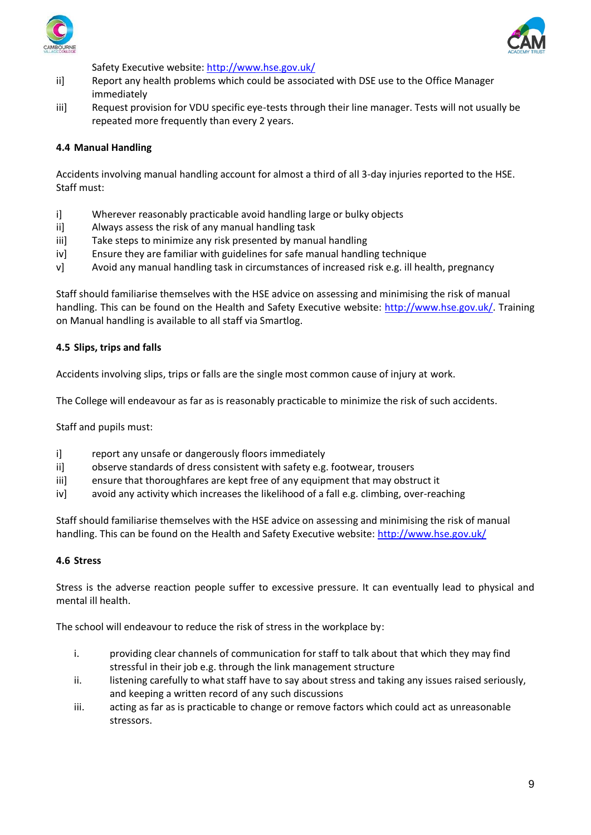



Safety Executive website:<http://www.hse.gov.uk/>

- ii] Report any health problems which could be associated with DSE use to the Office Manager immediately
- iii] Request provision for VDU specific eye-tests through their line manager. Tests will not usually be repeated more frequently than every 2 years.

# **4.4 Manual Handling**

Accidents involving manual handling account for almost a third of all 3-day injuries reported to the HSE. Staff must:

- i] Wherever reasonably practicable avoid handling large or bulky objects
- ii] Always assess the risk of any manual handling task
- iii] Take steps to minimize any risk presented by manual handling
- iv] Ensure they are familiar with guidelines for safe manual handling technique
- v] Avoid any manual handling task in circumstances of increased risk e.g. ill health, pregnancy

Staff should familiarise themselves with the HSE advice on assessing and minimising the risk of manual handling. This can be found on the Health and Safety Executive website: [http://www.hse.gov.uk/.](http://www.hse.gov.uk/) Training on Manual handling is available to all staff via Smartlog.

#### **4.5 Slips, trips and falls**

Accidents involving slips, trips or falls are the single most common cause of injury at work.

The College will endeavour as far as is reasonably practicable to minimize the risk of such accidents.

Staff and pupils must:

- i] report any unsafe or dangerously floors immediately
- ii] observe standards of dress consistent with safety e.g. footwear, trousers
- iii] ensure that thoroughfares are kept free of any equipment that may obstruct it
- iv] avoid any activity which increases the likelihood of a fall e.g. climbing, over-reaching

Staff should familiarise themselves with the HSE advice on assessing and minimising the risk of manual handling. This can be found on the Health and Safety Executive website:<http://www.hse.gov.uk/>

# **4.6 Stress**

Stress is the adverse reaction people suffer to excessive pressure. It can eventually lead to physical and mental ill health.

The school will endeavour to reduce the risk of stress in the workplace by:

- i. providing clear channels of communication for staff to talk about that which they may find stressful in their job e.g. through the link management structure
- ii. listening carefully to what staff have to say about stress and taking any issues raised seriously, and keeping a written record of any such discussions
- iii. acting as far as is practicable to change or remove factors which could act as unreasonable stressors.